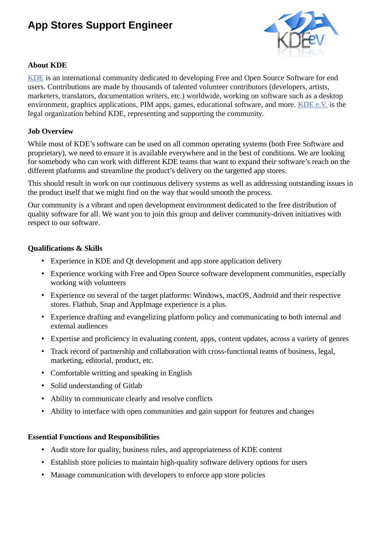# **App Stores Support Engineer**



## **About KDE**

[KDE](https://kde.org/) is an international community dedicated to developing Free and Open Source Software for end users. Contributions are made by thousands of talented volunteer contributors (developers, artists, marketers, translators, documentation writers, etc.) worldwide, working on software such as a desktop environment, graphics applications, PIM apps, games, educational software, and more. [KDE e.V.](https://ev.kde.org/) is the legal organization behind KDE, representing and supporting the community.

## **Job Overview**

While most of KDE's software can be used on all common operating systems (both Free Software and proprietary), we need to ensure it is available everywhere and in the best of conditions. We are looking for somebody who can work with different KDE teams that want to expand their software's reach on the different platforms and streamline the product's delivery on the targetted app stores.

This should result in work on our continuous delivery systems as well as addressing outstanding issues in the product itself that we might find on the way that would smooth the process.

Our community is a vibrant and open development environment dedicated to the free distribution of quality software for all. We want you to join this group and deliver community-driven initiatives with respect to our software.

## **Qualifications & Skills**

- Experience in KDE and Qt development and app store application delivery
- Experience working with Free and Open Source software development communities, especially working with volunteers
- Experience on several of the target platforms: Windows, macOS, Android and their respective stores. Flathub, Snap and AppImage experience is a plus.
- Experience drafting and evangelizing platform policy and communicating to both internal and external audiences
- Expertise and proficiency in evaluating content, apps, content updates, across a variety of genres
- Track record of partnership and collaboration with cross-functional teams of business, legal, marketing, editorial, product, etc.
- Comfortable writting and speaking in English
- Solid understanding of Gitlab
- Ability to communicate clearly and resolve conflicts
- Ability to interface with open communities and gain support for features and changes

#### **Essential Functions and Responsibilities**

- Audit store for quality, business rules, and appropriateness of KDE content
- Establish store policies to maintain high-quality software delivery options for users
- Manage communication with developers to enforce app store policies